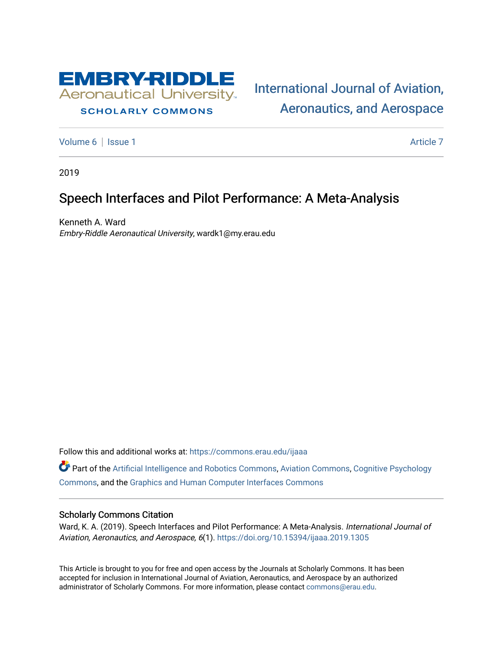

# **SCHOLARLY COMMONS**

[International Journal of Aviation,](https://commons.erau.edu/ijaaa)  [Aeronautics, and Aerospace](https://commons.erau.edu/ijaaa) 

[Volume 6](https://commons.erau.edu/ijaaa/vol6) | [Issue 1](https://commons.erau.edu/ijaaa/vol6/iss1) Article 7

2019

# Speech Interfaces and Pilot Performance: A Meta-Analysis

Kenneth A. Ward Embry-Riddle Aeronautical University, wardk1@my.erau.edu

Follow this and additional works at: [https://commons.erau.edu/ijaaa](https://commons.erau.edu/ijaaa?utm_source=commons.erau.edu%2Fijaaa%2Fvol6%2Fiss1%2F7&utm_medium=PDF&utm_campaign=PDFCoverPages) 

Part of the [Artificial Intelligence and Robotics Commons](http://network.bepress.com/hgg/discipline/143?utm_source=commons.erau.edu%2Fijaaa%2Fvol6%2Fiss1%2F7&utm_medium=PDF&utm_campaign=PDFCoverPages), [Aviation Commons,](http://network.bepress.com/hgg/discipline/1297?utm_source=commons.erau.edu%2Fijaaa%2Fvol6%2Fiss1%2F7&utm_medium=PDF&utm_campaign=PDFCoverPages) [Cognitive Psychology](http://network.bepress.com/hgg/discipline/408?utm_source=commons.erau.edu%2Fijaaa%2Fvol6%2Fiss1%2F7&utm_medium=PDF&utm_campaign=PDFCoverPages)  [Commons](http://network.bepress.com/hgg/discipline/408?utm_source=commons.erau.edu%2Fijaaa%2Fvol6%2Fiss1%2F7&utm_medium=PDF&utm_campaign=PDFCoverPages), and the [Graphics and Human Computer Interfaces Commons](http://network.bepress.com/hgg/discipline/146?utm_source=commons.erau.edu%2Fijaaa%2Fvol6%2Fiss1%2F7&utm_medium=PDF&utm_campaign=PDFCoverPages) 

#### Scholarly Commons Citation

Ward, K. A. (2019). Speech Interfaces and Pilot Performance: A Meta-Analysis. International Journal of Aviation, Aeronautics, and Aerospace, 6(1).<https://doi.org/10.15394/ijaaa.2019.1305>

This Article is brought to you for free and open access by the Journals at Scholarly Commons. It has been accepted for inclusion in International Journal of Aviation, Aeronautics, and Aerospace by an authorized administrator of Scholarly Commons. For more information, please contact [commons@erau.edu](mailto:commons@erau.edu).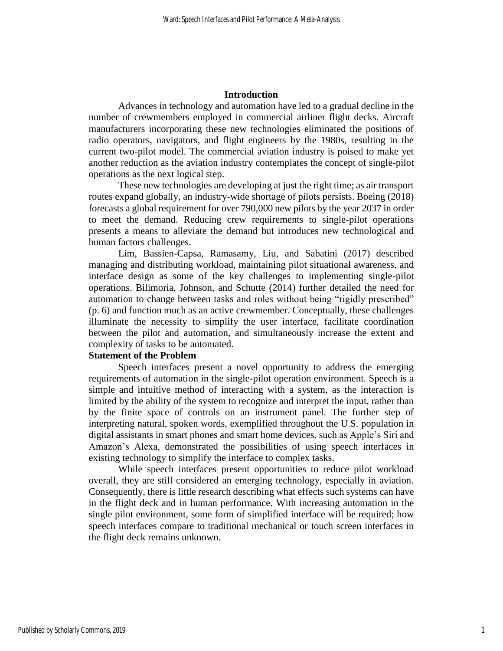#### **Introduction**

Advances in technology and automation have led to a gradual decline in the number of crewmembers employed in commercial airliner flight decks. Aircraft manufacturers incorporating these new technologies eliminated the positions of radio operators, navigators, and flight engineers by the 1980s, resulting in the current two-pilot model. The commercial aviation industry is poised to make yet another reduction as the aviation industry contemplates the concept of single-pilot operations as the next logical step.

These new technologies are developing at just the right time; as air transport routes expand globally, an industry-wide shortage of pilots persists. Boeing (2018) forecasts a global requirement for over 790,000 new pilots by the year 2037 in order to meet the demand. Reducing crew requirements to single-pilot operations presents a means to alleviate the demand but introduces new technological and human factors challenges.

Lim, Bassien-Capsa, Ramasamy, Liu, and Sabatini (2017) described managing and distributing workload, maintaining pilot situational awareness, and interface design as some of the key challenges to implementing single-pilot operations. Bilimoria, Johnson, and Schutte (2014) further detailed the need for automation to change between tasks and roles without being "rigidly prescribed" (p. 6) and function much as an active crewmember. Conceptually, these challenges illuminate the necessity to simplify the user interface, facilitate coordination between the pilot and automation, and simultaneously increase the extent and complexity of tasks to be automated.

## **Statement of the Problem**

Speech interfaces present a novel opportunity to address the emerging requirements of automation in the single-pilot operation environment. Speech is a simple and intuitive method of interacting with a system, as the interaction is limited by the ability of the system to recognize and interpret the input, rather than by the finite space of controls on an instrument panel. The further step of interpreting natural, spoken words, exemplified throughout the U.S. population in digital assistants in smart phones and smart home devices, such as Apple's Siri and Amazon's Alexa, demonstrated the possibilities of using speech interfaces in existing technology to simplify the interface to complex tasks.

While speech interfaces present opportunities to reduce pilot workload overall, they are still considered an emerging technology, especially in aviation. Consequently, there is little research describing what effects such systems can have in the flight deck and in human performance. With increasing automation in the single pilot environment, some form of simplified interface will be required; how speech interfaces compare to traditional mechanical or touch screen interfaces in the flight deck remains unknown.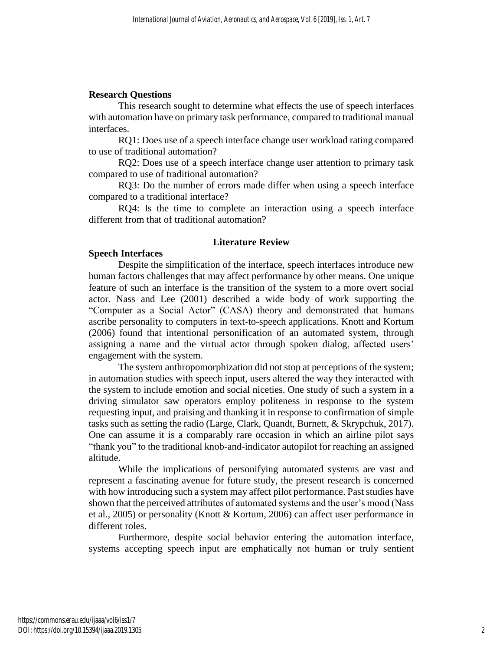## **Research Questions**

This research sought to determine what effects the use of speech interfaces with automation have on primary task performance, compared to traditional manual interfaces.

RQ1: Does use of a speech interface change user workload rating compared to use of traditional automation?

RQ2: Does use of a speech interface change user attention to primary task compared to use of traditional automation?

RQ3: Do the number of errors made differ when using a speech interface compared to a traditional interface?

RQ4: Is the time to complete an interaction using a speech interface different from that of traditional automation?

## **Literature Review**

#### **Speech Interfaces**

Despite the simplification of the interface, speech interfaces introduce new human factors challenges that may affect performance by other means. One unique feature of such an interface is the transition of the system to a more overt social actor. Nass and Lee (2001) described a wide body of work supporting the "Computer as a Social Actor" (CASA) theory and demonstrated that humans ascribe personality to computers in text-to-speech applications. Knott and Kortum (2006) found that intentional personification of an automated system, through assigning a name and the virtual actor through spoken dialog, affected users' engagement with the system.

The system anthropomorphization did not stop at perceptions of the system; in automation studies with speech input, users altered the way they interacted with the system to include emotion and social niceties. One study of such a system in a driving simulator saw operators employ politeness in response to the system requesting input, and praising and thanking it in response to confirmation of simple tasks such as setting the radio (Large, Clark, Quandt, Burnett, & Skrypchuk, 2017). One can assume it is a comparably rare occasion in which an airline pilot says "thank you" to the traditional knob-and-indicator autopilot for reaching an assigned altitude.

While the implications of personifying automated systems are vast and represent a fascinating avenue for future study, the present research is concerned with how introducing such a system may affect pilot performance. Past studies have shown that the perceived attributes of automated systems and the user's mood (Nass et al., 2005) or personality (Knott & Kortum, 2006) can affect user performance in different roles.

Furthermore, despite social behavior entering the automation interface, systems accepting speech input are emphatically not human or truly sentient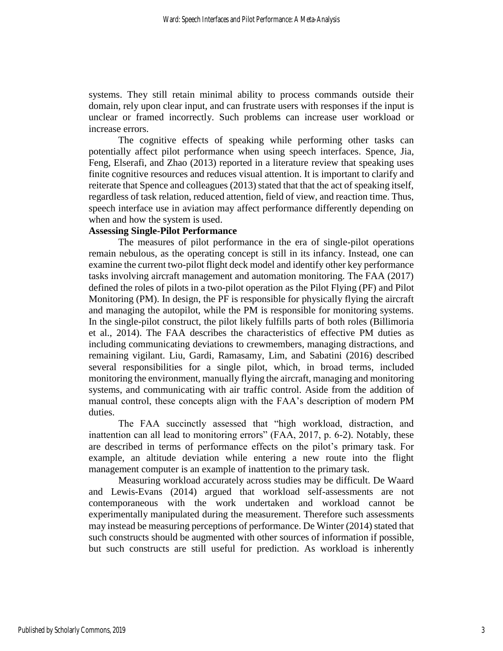systems. They still retain minimal ability to process commands outside their domain, rely upon clear input, and can frustrate users with responses if the input is unclear or framed incorrectly. Such problems can increase user workload or increase errors.

The cognitive effects of speaking while performing other tasks can potentially affect pilot performance when using speech interfaces. Spence, Jia, Feng, Elserafi, and Zhao (2013) reported in a literature review that speaking uses finite cognitive resources and reduces visual attention. It is important to clarify and reiterate that Spence and colleagues (2013) stated that that the act of speaking itself, regardless of task relation, reduced attention, field of view, and reaction time. Thus, speech interface use in aviation may affect performance differently depending on when and how the system is used.

# **Assessing Single-Pilot Performance**

The measures of pilot performance in the era of single-pilot operations remain nebulous, as the operating concept is still in its infancy. Instead, one can examine the current two-pilot flight deck model and identify other key performance tasks involving aircraft management and automation monitoring. The FAA (2017) defined the roles of pilots in a two-pilot operation as the Pilot Flying (PF) and Pilot Monitoring (PM). In design, the PF is responsible for physically flying the aircraft and managing the autopilot, while the PM is responsible for monitoring systems. In the single-pilot construct, the pilot likely fulfills parts of both roles (Billimoria et al., 2014). The FAA describes the characteristics of effective PM duties as including communicating deviations to crewmembers, managing distractions, and remaining vigilant. Liu, Gardi, Ramasamy, Lim, and Sabatini (2016) described several responsibilities for a single pilot, which, in broad terms, included monitoring the environment, manually flying the aircraft, managing and monitoring systems, and communicating with air traffic control. Aside from the addition of manual control, these concepts align with the FAA's description of modern PM duties.

The FAA succinctly assessed that "high workload, distraction, and inattention can all lead to monitoring errors" (FAA, 2017, p. 6-2). Notably, these are described in terms of performance effects on the pilot's primary task. For example, an altitude deviation while entering a new route into the flight management computer is an example of inattention to the primary task.

Measuring workload accurately across studies may be difficult. De Waard and Lewis-Evans (2014) argued that workload self-assessments are not contemporaneous with the work undertaken and workload cannot be experimentally manipulated during the measurement. Therefore such assessments may instead be measuring perceptions of performance. De Winter (2014) stated that such constructs should be augmented with other sources of information if possible, but such constructs are still useful for prediction. As workload is inherently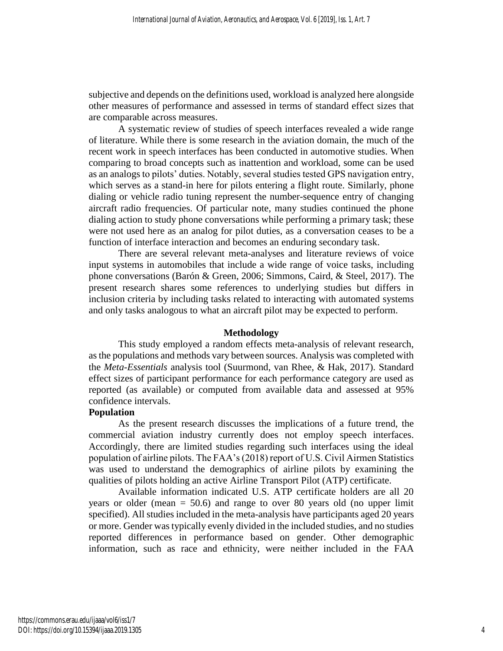subjective and depends on the definitions used, workload is analyzed here alongside other measures of performance and assessed in terms of standard effect sizes that are comparable across measures.

A systematic review of studies of speech interfaces revealed a wide range of literature. While there is some research in the aviation domain, the much of the recent work in speech interfaces has been conducted in automotive studies. When comparing to broad concepts such as inattention and workload, some can be used as an analogs to pilots' duties. Notably, several studies tested GPS navigation entry, which serves as a stand-in here for pilots entering a flight route. Similarly, phone dialing or vehicle radio tuning represent the number-sequence entry of changing aircraft radio frequencies. Of particular note, many studies continued the phone dialing action to study phone conversations while performing a primary task; these were not used here as an analog for pilot duties, as a conversation ceases to be a function of interface interaction and becomes an enduring secondary task.

There are several relevant meta-analyses and literature reviews of voice input systems in automobiles that include a wide range of voice tasks, including phone conversations (Barón & Green, 2006; Simmons, Caird, & Steel, 2017). The present research shares some references to underlying studies but differs in inclusion criteria by including tasks related to interacting with automated systems and only tasks analogous to what an aircraft pilot may be expected to perform.

#### **Methodology**

This study employed a random effects meta-analysis of relevant research, as the populations and methods vary between sources. Analysis was completed with the *Meta-Essentials* analysis tool (Suurmond, van Rhee, & Hak, 2017). Standard effect sizes of participant performance for each performance category are used as reported (as available) or computed from available data and assessed at 95% confidence intervals.

#### **Population**

As the present research discusses the implications of a future trend, the commercial aviation industry currently does not employ speech interfaces. Accordingly, there are limited studies regarding such interfaces using the ideal population of airline pilots. The FAA's (2018) report of U.S. Civil Airmen Statistics was used to understand the demographics of airline pilots by examining the qualities of pilots holding an active Airline Transport Pilot (ATP) certificate.

Available information indicated U.S. ATP certificate holders are all 20 years or older (mean  $= 50.6$ ) and range to over 80 years old (no upper limit specified). All studies included in the meta-analysis have participants aged 20 years or more. Gender was typically evenly divided in the included studies, and no studies reported differences in performance based on gender. Other demographic information, such as race and ethnicity, were neither included in the FAA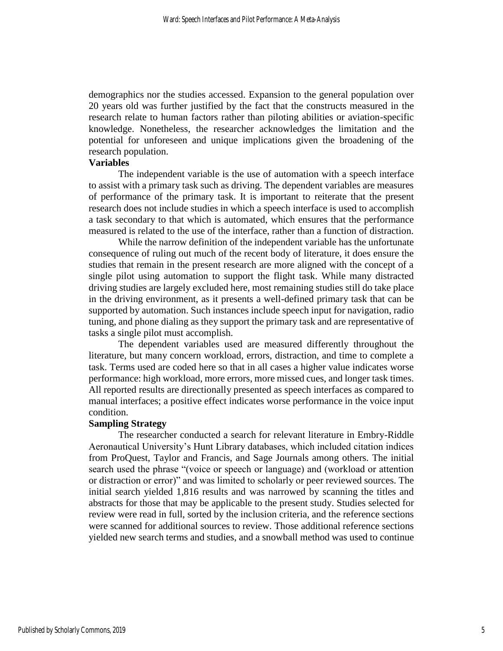demographics nor the studies accessed. Expansion to the general population over 20 years old was further justified by the fact that the constructs measured in the research relate to human factors rather than piloting abilities or aviation-specific knowledge. Nonetheless, the researcher acknowledges the limitation and the potential for unforeseen and unique implications given the broadening of the research population.

## **Variables**

The independent variable is the use of automation with a speech interface to assist with a primary task such as driving. The dependent variables are measures of performance of the primary task. It is important to reiterate that the present research does not include studies in which a speech interface is used to accomplish a task secondary to that which is automated, which ensures that the performance measured is related to the use of the interface, rather than a function of distraction.

While the narrow definition of the independent variable has the unfortunate consequence of ruling out much of the recent body of literature, it does ensure the studies that remain in the present research are more aligned with the concept of a single pilot using automation to support the flight task. While many distracted driving studies are largely excluded here, most remaining studies still do take place in the driving environment, as it presents a well-defined primary task that can be supported by automation. Such instances include speech input for navigation, radio tuning, and phone dialing as they support the primary task and are representative of tasks a single pilot must accomplish.

The dependent variables used are measured differently throughout the literature, but many concern workload, errors, distraction, and time to complete a task. Terms used are coded here so that in all cases a higher value indicates worse performance: high workload, more errors, more missed cues, and longer task times. All reported results are directionally presented as speech interfaces as compared to manual interfaces; a positive effect indicates worse performance in the voice input condition.

#### **Sampling Strategy**

The researcher conducted a search for relevant literature in Embry-Riddle Aeronautical University's Hunt Library databases, which included citation indices from ProQuest, Taylor and Francis, and Sage Journals among others. The initial search used the phrase "(voice or speech or language) and (workload or attention or distraction or error)" and was limited to scholarly or peer reviewed sources. The initial search yielded 1,816 results and was narrowed by scanning the titles and abstracts for those that may be applicable to the present study. Studies selected for review were read in full, sorted by the inclusion criteria, and the reference sections were scanned for additional sources to review. Those additional reference sections yielded new search terms and studies, and a snowball method was used to continue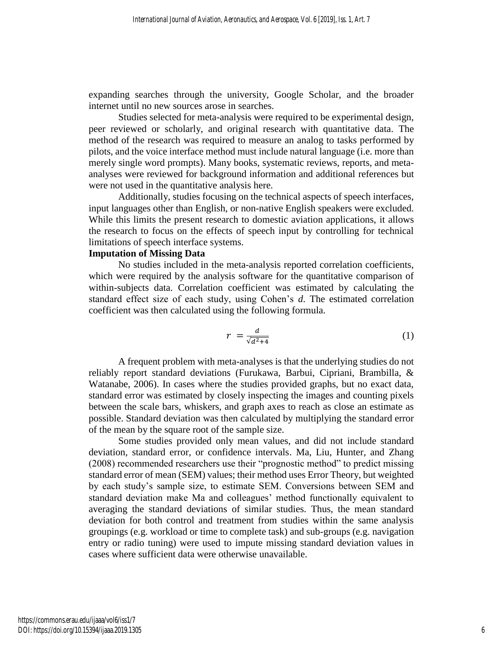expanding searches through the university, Google Scholar, and the broader internet until no new sources arose in searches.

Studies selected for meta-analysis were required to be experimental design, peer reviewed or scholarly, and original research with quantitative data. The method of the research was required to measure an analog to tasks performed by pilots, and the voice interface method must include natural language (i.e. more than merely single word prompts). Many books, systematic reviews, reports, and metaanalyses were reviewed for background information and additional references but were not used in the quantitative analysis here.

Additionally, studies focusing on the technical aspects of speech interfaces, input languages other than English, or non-native English speakers were excluded. While this limits the present research to domestic aviation applications, it allows the research to focus on the effects of speech input by controlling for technical limitations of speech interface systems.

## **Imputation of Missing Data**

No studies included in the meta-analysis reported correlation coefficients, which were required by the analysis software for the quantitative comparison of within-subjects data. Correlation coefficient was estimated by calculating the standard effect size of each study, using Cohen's *d*. The estimated correlation coefficient was then calculated using the following formula.

$$
r = \frac{d}{\sqrt{d^2 + 4}}\tag{1}
$$

A frequent problem with meta-analyses is that the underlying studies do not reliably report standard deviations (Furukawa, Barbui, Cipriani, Brambilla, & Watanabe, 2006). In cases where the studies provided graphs, but no exact data, standard error was estimated by closely inspecting the images and counting pixels between the scale bars, whiskers, and graph axes to reach as close an estimate as possible. Standard deviation was then calculated by multiplying the standard error of the mean by the square root of the sample size.

Some studies provided only mean values, and did not include standard deviation, standard error, or confidence intervals. Ma, Liu, Hunter, and Zhang (2008) recommended researchers use their "prognostic method" to predict missing standard error of mean (SEM) values; their method uses Error Theory, but weighted by each study's sample size, to estimate SEM. Conversions between SEM and standard deviation make Ma and colleagues' method functionally equivalent to averaging the standard deviations of similar studies. Thus, the mean standard deviation for both control and treatment from studies within the same analysis groupings (e.g. workload or time to complete task) and sub-groups (e.g. navigation entry or radio tuning) were used to impute missing standard deviation values in cases where sufficient data were otherwise unavailable.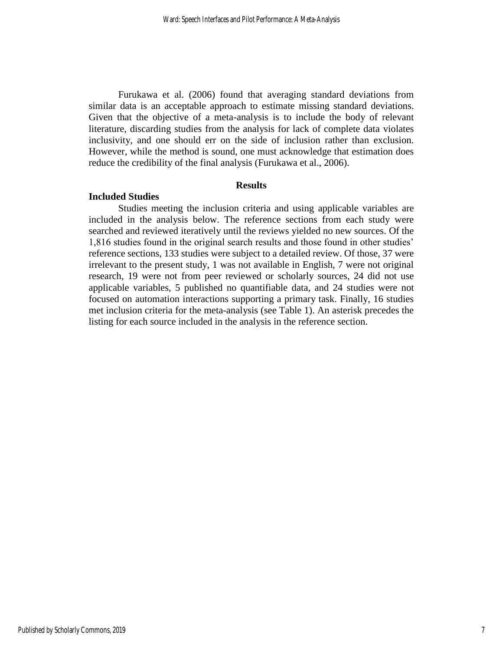Furukawa et al. (2006) found that averaging standard deviations from similar data is an acceptable approach to estimate missing standard deviations. Given that the objective of a meta-analysis is to include the body of relevant literature, discarding studies from the analysis for lack of complete data violates inclusivity, and one should err on the side of inclusion rather than exclusion. However, while the method is sound, one must acknowledge that estimation does reduce the credibility of the final analysis (Furukawa et al., 2006).

## **Results**

#### **Included Studies**

Studies meeting the inclusion criteria and using applicable variables are included in the analysis below. The reference sections from each study were searched and reviewed iteratively until the reviews yielded no new sources. Of the 1,816 studies found in the original search results and those found in other studies' reference sections, 133 studies were subject to a detailed review. Of those, 37 were irrelevant to the present study, 1 was not available in English, 7 were not original research, 19 were not from peer reviewed or scholarly sources, 24 did not use applicable variables, 5 published no quantifiable data, and 24 studies were not focused on automation interactions supporting a primary task. Finally, 16 studies met inclusion criteria for the meta-analysis (see Table 1). An asterisk precedes the listing for each source included in the analysis in the reference section.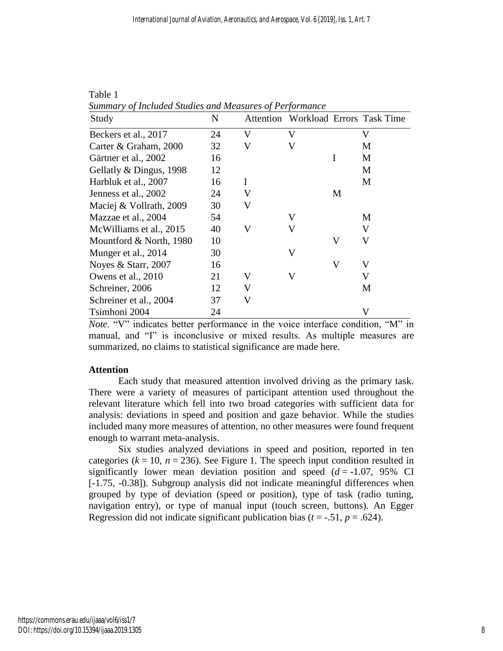| Study                   | N  |   |   |                         | Attention Workload Errors Task Time |
|-------------------------|----|---|---|-------------------------|-------------------------------------|
| Beckers et al., 2017    | 24 | V | V |                         | V                                   |
| Carter & Graham, 2000   | 32 | V | V |                         | M                                   |
| Gärtner et al., 2002    | 16 |   |   | I                       | M                                   |
| Gellatly & Dingus, 1998 | 12 |   |   |                         | M                                   |
| Harbluk et al., 2007    | 16 | I |   |                         | M                                   |
| Jenness et al., 2002    | 24 | V |   | M                       |                                     |
| Maciej & Vollrath, 2009 | 30 | V |   |                         |                                     |
| Mazzae et al., 2004     | 54 |   | V |                         | M                                   |
| McWilliams et al., 2015 | 40 | V | V |                         | V                                   |
| Mountford & North, 1980 | 10 |   |   | $\overline{\mathsf{V}}$ | V                                   |
| Munger et al., 2014     | 30 |   | V |                         |                                     |
| Noyes & Starr, $2007$   | 16 |   |   | V                       | V                                   |
| Owens et al., 2010      | 21 | V | V |                         | V                                   |
| Schreiner, 2006         | 12 | V |   |                         | M                                   |
| Schreiner et al., 2004  | 37 | V |   |                         |                                     |
| Tsimhoni 2004           | 24 |   |   |                         | V                                   |

Table 1 *Summary of Included Studies and Measures of Performance*

*Note.* "V" indicates better performance in the voice interface condition, "M" in manual, and "I" is inconclusive or mixed results. As multiple measures are summarized, no claims to statistical significance are made here.

## **Attention**

Each study that measured attention involved driving as the primary task. There were a variety of measures of participant attention used throughout the relevant literature which fell into two broad categories with sufficient data for analysis: deviations in speed and position and gaze behavior. While the studies included many more measures of attention, no other measures were found frequent enough to warrant meta-analysis.

Six studies analyzed deviations in speed and position, reported in ten categories  $(k = 10, n = 236)$ . See Figure 1. The speech input condition resulted in significantly lower mean deviation position and speed  $(d = -1.07, 95\%$  CI [-1.75, -0.38]). Subgroup analysis did not indicate meaningful differences when grouped by type of deviation (speed or position), type of task (radio tuning, navigation entry), or type of manual input (touch screen, buttons). An Egger Regression did not indicate significant publication bias  $(t = -.51, p = .624)$ .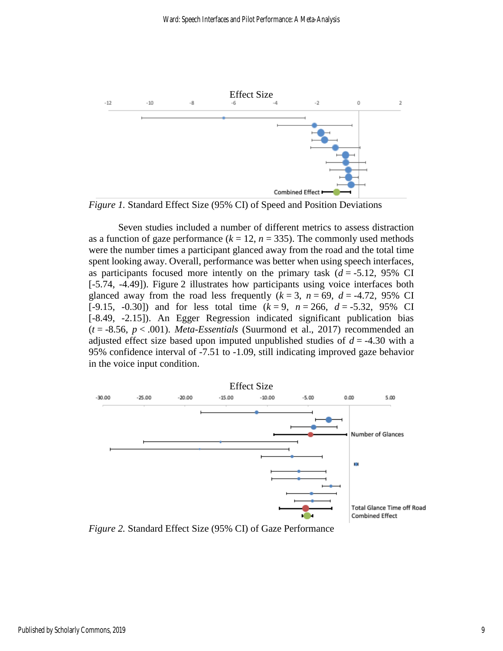

*Figure 1.* Standard Effect Size (95% CI) of Speed and Position Deviations

Seven studies included a number of different metrics to assess distraction as a function of gaze performance ( $k = 12$ ,  $n = 335$ ). The commonly used methods were the number times a participant glanced away from the road and the total time spent looking away. Overall, performance was better when using speech interfaces, as participants focused more intently on the primary task  $(d = -5.12, 95\% \text{ CI})$ [-5.74, -4.49]). Figure 2 illustrates how participants using voice interfaces both glanced away from the road less frequently  $(k = 3, n = 69, d = -4.72, 95\% \text{ CI}$ [-9.15, -0.30]) and for less total time  $(k = 9, n = 266, d = -5.32, 95\% \text{ CI}$ [-8.49, -2.15]). An Egger Regression indicated significant publication bias  $(t = -8.56, p < .001)$ . *Meta-Essentials* (Suurmond et al., 2017) recommended an adjusted effect size based upon imputed unpublished studies of *d* = -4.30 with a 95% confidence interval of -7.51 to -1.09, still indicating improved gaze behavior in the voice input condition.



*Figure 2.* Standard Effect Size (95% CI) of Gaze Performance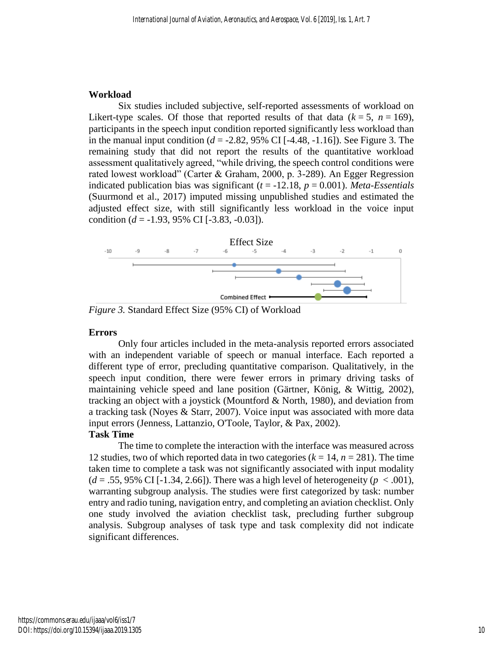### **Workload**

Six studies included subjective, self-reported assessments of workload on Likert-type scales. Of those that reported results of that data  $(k = 5, n = 169)$ , participants in the speech input condition reported significantly less workload than in the manual input condition  $(d = -2.82, 95\% \text{ CI}$  [ $-4.48, -1.16$ ]). See Figure 3. The remaining study that did not report the results of the quantitative workload assessment qualitatively agreed, "while driving, the speech control conditions were rated lowest workload" (Carter & Graham, 2000, p. 3-289). An Egger Regression indicated publication bias was significant  $(t = -12.18, p = 0.001)$ . *Meta-Essentials* (Suurmond et al., 2017) imputed missing unpublished studies and estimated the adjusted effect size, with still significantly less workload in the voice input condition (*d* = -1.93, 95% CI [-3.83, -0.03]).



*Figure 3.* Standard Effect Size (95% CI) of Workload

#### **Errors**

Only four articles included in the meta-analysis reported errors associated with an independent variable of speech or manual interface. Each reported a different type of error, precluding quantitative comparison. Qualitatively, in the speech input condition, there were fewer errors in primary driving tasks of maintaining vehicle speed and lane position (Gärtner, König, & Wittig, 2002), tracking an object with a joystick (Mountford & North, 1980), and deviation from a tracking task (Noyes & Starr, 2007). Voice input was associated with more data input errors (Jenness, Lattanzio, O'Toole, Taylor, & Pax, 2002). **Task Time**

The time to complete the interaction with the interface was measured across 12 studies, two of which reported data in two categories  $(k = 14, n = 281)$ . The time taken time to complete a task was not significantly associated with input modality  $(d = .55, 95\% \text{ CI}$  [-1.34, 2.66]). There was a high level of heterogeneity ( $p < .001$ ), warranting subgroup analysis. The studies were first categorized by task: number entry and radio tuning, navigation entry, and completing an aviation checklist. Only one study involved the aviation checklist task, precluding further subgroup analysis. Subgroup analyses of task type and task complexity did not indicate significant differences.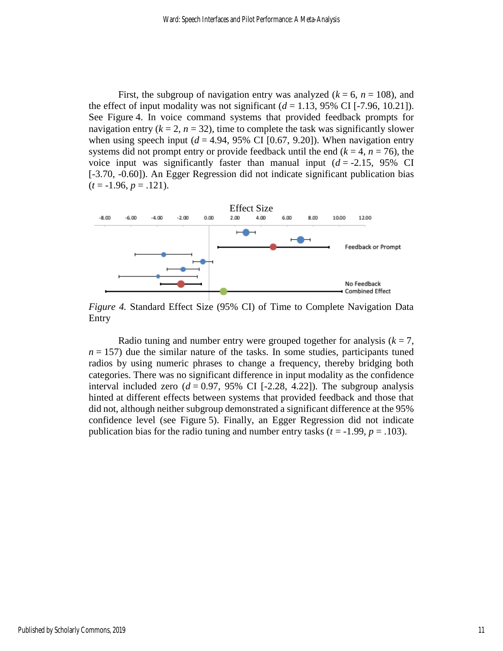First, the subgroup of navigation entry was analyzed  $(k = 6, n = 108)$ , and the effect of input modality was not significant  $(d = 1.13, 95\% \text{ CI}$  [-7.96, 10.21]). See Figure 4. In voice command systems that provided feedback prompts for navigation entry  $(k = 2, n = 32)$ , time to complete the task was significantly slower when using speech input  $(d = 4.94, 95\% \text{ CI} [0.67, 9.20])$ . When navigation entry systems did not prompt entry or provide feedback until the end  $(k = 4, n = 76)$ , the voice input was significantly faster than manual input  $(d = -2.15, 95\% \text{ CI})$ [-3.70, -0.60]). An Egger Regression did not indicate significant publication bias  $(t = -1.96, p = .121).$ 



*Figure 4.* Standard Effect Size (95% CI) of Time to Complete Navigation Data Entry

Radio tuning and number entry were grouped together for analysis  $(k = 7)$ ,  $n = 157$ ) due the similar nature of the tasks. In some studies, participants tuned radios by using numeric phrases to change a frequency, thereby bridging both categories. There was no significant difference in input modality as the confidence interval included zero  $(d = 0.97, 95\% \text{ CI}$  [-2.28, 4.22]). The subgroup analysis hinted at different effects between systems that provided feedback and those that did not, although neither subgroup demonstrated a significant difference at the 95% confidence level (see Figure 5). Finally, an Egger Regression did not indicate publication bias for the radio tuning and number entry tasks  $(t = -1.99, p = .103)$ .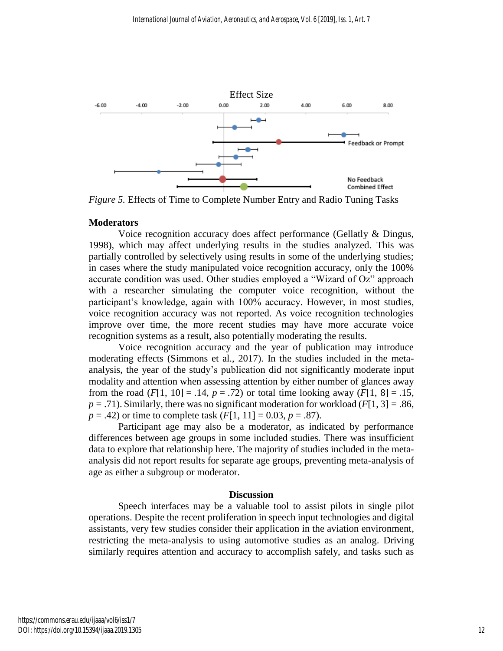

*Figure 5.* Effects of Time to Complete Number Entry and Radio Tuning Tasks

## **Moderators**

Voice recognition accuracy does affect performance (Gellatly & Dingus, 1998), which may affect underlying results in the studies analyzed. This was partially controlled by selectively using results in some of the underlying studies; in cases where the study manipulated voice recognition accuracy, only the 100% accurate condition was used. Other studies employed a "Wizard of Oz" approach with a researcher simulating the computer voice recognition, without the participant's knowledge, again with 100% accuracy. However, in most studies, voice recognition accuracy was not reported. As voice recognition technologies improve over time, the more recent studies may have more accurate voice recognition systems as a result, also potentially moderating the results.

Voice recognition accuracy and the year of publication may introduce moderating effects (Simmons et al., 2017). In the studies included in the metaanalysis, the year of the study's publication did not significantly moderate input modality and attention when assessing attention by either number of glances away from the road  $(F[1, 10] = .14, p = .72)$  or total time looking away  $(F[1, 8] = .15,$  $p = .71$ ). Similarly, there was no significant moderation for workload ( $F[1, 3] = .86$ ,  $p = .42$ ) or time to complete task  $(F[1, 11] = 0.03, p = .87)$ .

Participant age may also be a moderator, as indicated by performance differences between age groups in some included studies. There was insufficient data to explore that relationship here. The majority of studies included in the metaanalysis did not report results for separate age groups, preventing meta-analysis of age as either a subgroup or moderator.

#### **Discussion**

Speech interfaces may be a valuable tool to assist pilots in single pilot operations. Despite the recent proliferation in speech input technologies and digital assistants, very few studies consider their application in the aviation environment, restricting the meta-analysis to using automotive studies as an analog. Driving similarly requires attention and accuracy to accomplish safely, and tasks such as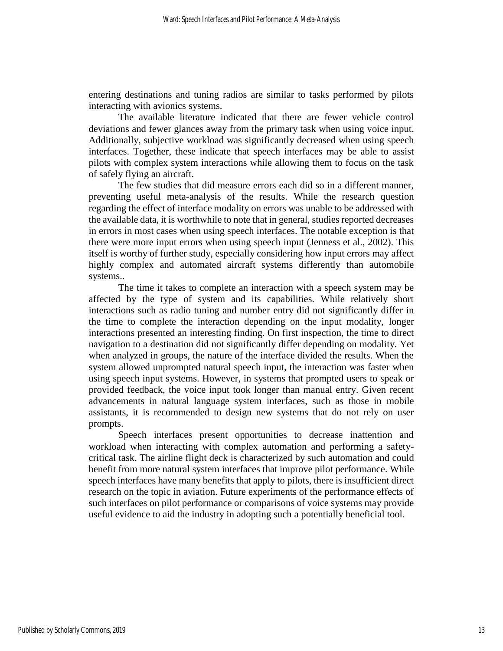entering destinations and tuning radios are similar to tasks performed by pilots interacting with avionics systems.

The available literature indicated that there are fewer vehicle control deviations and fewer glances away from the primary task when using voice input. Additionally, subjective workload was significantly decreased when using speech interfaces. Together, these indicate that speech interfaces may be able to assist pilots with complex system interactions while allowing them to focus on the task of safely flying an aircraft.

The few studies that did measure errors each did so in a different manner, preventing useful meta-analysis of the results. While the research question regarding the effect of interface modality on errors was unable to be addressed with the available data, it is worthwhile to note that in general, studies reported decreases in errors in most cases when using speech interfaces. The notable exception is that there were more input errors when using speech input (Jenness et al., 2002). This itself is worthy of further study, especially considering how input errors may affect highly complex and automated aircraft systems differently than automobile systems..

The time it takes to complete an interaction with a speech system may be affected by the type of system and its capabilities. While relatively short interactions such as radio tuning and number entry did not significantly differ in the time to complete the interaction depending on the input modality, longer interactions presented an interesting finding. On first inspection, the time to direct navigation to a destination did not significantly differ depending on modality. Yet when analyzed in groups, the nature of the interface divided the results. When the system allowed unprompted natural speech input, the interaction was faster when using speech input systems. However, in systems that prompted users to speak or provided feedback, the voice input took longer than manual entry. Given recent advancements in natural language system interfaces, such as those in mobile assistants, it is recommended to design new systems that do not rely on user prompts.

Speech interfaces present opportunities to decrease inattention and workload when interacting with complex automation and performing a safetycritical task. The airline flight deck is characterized by such automation and could benefit from more natural system interfaces that improve pilot performance. While speech interfaces have many benefits that apply to pilots, there is insufficient direct research on the topic in aviation. Future experiments of the performance effects of such interfaces on pilot performance or comparisons of voice systems may provide useful evidence to aid the industry in adopting such a potentially beneficial tool.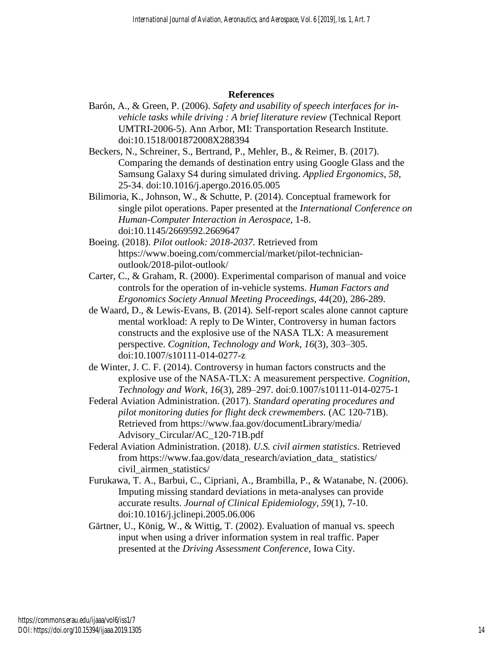#### **References**

- Barón, A., & Green, P. (2006). *Safety and usability of speech interfaces for invehicle tasks while driving : A brief literature review* (Technical Report UMTRI-2006-5). Ann Arbor, MI: Transportation Research Institute. doi:10.1518/001872008X288394
- Beckers, N., Schreiner, S., Bertrand, P., Mehler, B., & Reimer, B. (2017). Comparing the demands of destination entry using Google Glass and the Samsung Galaxy S4 during simulated driving. *Applied Ergonomics, 58*, 25-34. doi:10.1016/j.apergo.2016.05.005
- Bilimoria, K., Johnson, W., & Schutte, P. (2014). Conceptual framework for single pilot operations. Paper presented at the *International Conference on Human-Computer Interaction in Aerospace,* 1-8. doi:10.1145/2669592.2669647
- Boeing. (2018). *Pilot outlook: 2018-2037.* Retrieved from https://www.boeing.com/commercial/market/pilot-technicianoutlook/2018-pilot-outlook/
- Carter, C., & Graham, R. (2000). Experimental comparison of manual and voice controls for the operation of in-vehicle systems. *Human Factors and Ergonomics Society Annual Meeting Proceedings, 44*(20), 286-289.
- de Waard, D., & Lewis-Evans, B. (2014). Self-report scales alone cannot capture mental workload: A reply to De Winter, Controversy in human factors constructs and the explosive use of the NASA TLX: A measurement perspective. *Cognition, Technology and Work*, *16*(3), 303–305. doi:10.1007/s10111-014-0277-z
- de Winter, J. C. F. (2014). Controversy in human factors constructs and the explosive use of the NASA-TLX: A measurement perspective. *Cognition, Technology and Work*, *16*(3), 289–297. doi:0.1007/s10111-014-0275-1
- Federal Aviation Administration. (2017). *Standard operating procedures and pilot monitoring duties for flight deck crewmembers.* (AC 120-71B). Retrieved from https://www.faa.gov/documentLibrary/media/ Advisory\_Circular/AC\_120-71B.pdf
- Federal Aviation Administration. (2018). *U.S. civil airmen statistics*. Retrieved from https://www.faa.gov/data\_research/aviation\_data\_ statistics/ civil\_airmen\_statistics/
- Furukawa, T. A., Barbui, C., Cipriani, A., Brambilla, P., & Watanabe, N. (2006). Imputing missing standard deviations in meta-analyses can provide accurate results. *Journal of Clinical Epidemiology, 59*(1), 7-10. doi:10.1016/j.jclinepi.2005.06.006
- Gärtner, U., König, W., & Wittig, T. (2002). Evaluation of manual vs. speech input when using a driver information system in real traffic. Paper presented at the *Driving Assessment Conference,* Iowa City.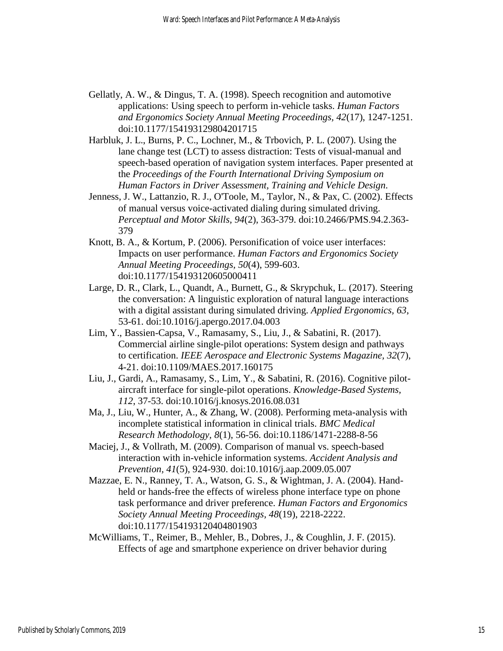- Gellatly, A. W., & Dingus, T. A. (1998). Speech recognition and automotive applications: Using speech to perform in-vehicle tasks. *Human Factors and Ergonomics Society Annual Meeting Proceedings, 42*(17), 1247-1251. doi:10.1177/154193129804201715
- Harbluk, J. L., Burns, P. C., Lochner, M., & Trbovich, P. L. (2007). Using the lane change test (LCT) to assess distraction: Tests of visual-manual and speech-based operation of navigation system interfaces. Paper presented at the *Proceedings of the Fourth International Driving Symposium on Human Factors in Driver Assessment, Training and Vehicle Design.*
- Jenness, J. W., Lattanzio, R. J., O'Toole, M., Taylor, N., & Pax, C. (2002). Effects of manual versus voice-activated dialing during simulated driving. *Perceptual and Motor Skills, 94*(2), 363-379. doi:10.2466/PMS.94.2.363- 379
- Knott, B. A., & Kortum, P. (2006). Personification of voice user interfaces: Impacts on user performance. *Human Factors and Ergonomics Society Annual Meeting Proceedings, 50*(4), 599-603. doi:10.1177/154193120605000411
- Large, D. R., Clark, L., Quandt, A., Burnett, G., & Skrypchuk, L. (2017). Steering the conversation: A linguistic exploration of natural language interactions with a digital assistant during simulated driving. *Applied Ergonomics, 63*, 53-61. doi:10.1016/j.apergo.2017.04.003
- Lim, Y., Bassien-Capsa, V., Ramasamy, S., Liu, J., & Sabatini, R. (2017). Commercial airline single-pilot operations: System design and pathways to certification. *IEEE Aerospace and Electronic Systems Magazine, 32*(7), 4-21. doi:10.1109/MAES.2017.160175
- Liu, J., Gardi, A., Ramasamy, S., Lim, Y., & Sabatini, R. (2016). Cognitive pilotaircraft interface for single-pilot operations. *Knowledge-Based Systems, 112*, 37-53. doi:10.1016/j.knosys.2016.08.031
- Ma, J., Liu, W., Hunter, A., & Zhang, W. (2008). Performing meta-analysis with incomplete statistical information in clinical trials. *BMC Medical Research Methodology, 8*(1), 56-56. doi:10.1186/1471-2288-8-56
- Maciej, J., & Vollrath, M. (2009). Comparison of manual vs. speech-based interaction with in-vehicle information systems. *Accident Analysis and Prevention, 41*(5), 924-930. doi:10.1016/j.aap.2009.05.007
- Mazzae, E. N., Ranney, T. A., Watson, G. S., & Wightman, J. A. (2004). Handheld or hands-free the effects of wireless phone interface type on phone task performance and driver preference. *Human Factors and Ergonomics Society Annual Meeting Proceedings, 48*(19), 2218-2222. doi:10.1177/154193120404801903
- McWilliams, T., Reimer, B., Mehler, B., Dobres, J., & Coughlin, J. F. (2015). Effects of age and smartphone experience on driver behavior during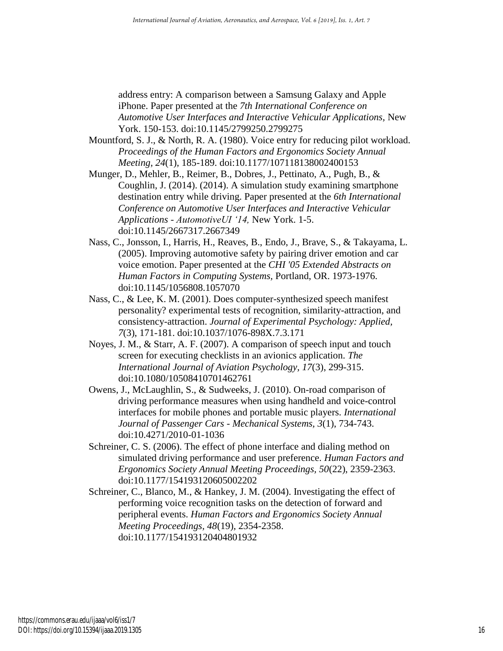address entry: A comparison between a Samsung Galaxy and Apple iPhone. Paper presented at the *7th International Conference on Automotive User Interfaces and Interactive Vehicular Applications,* New York. 150-153. doi:10.1145/2799250.2799275

- Mountford, S. J., & North, R. A. (1980). Voice entry for reducing pilot workload. *Proceedings of the Human Factors and Ergonomics Society Annual Meeting, 24*(1), 185-189. doi:10.1177/107118138002400153
- Munger, D., Mehler, B., Reimer, B., Dobres, J., Pettinato, A., Pugh, B., & Coughlin, J. (2014). (2014). A simulation study examining smartphone destination entry while driving. Paper presented at the *6th International Conference on Automotive User Interfaces and Interactive Vehicular Applications - AutomotiveUI '14,* New York. 1-5. doi:10.1145/2667317.2667349
- Nass, C., Jonsson, I., Harris, H., Reaves, B., Endo, J., Brave, S., & Takayama, L. (2005). Improving automotive safety by pairing driver emotion and car voice emotion. Paper presented at the *CHI '05 Extended Abstracts on Human Factors in Computing Systems,* Portland, OR. 1973-1976. doi:10.1145/1056808.1057070
- Nass, C., & Lee, K. M. (2001). Does computer-synthesized speech manifest personality? experimental tests of recognition, similarity-attraction, and consistency-attraction. *Journal of Experimental Psychology: Applied, 7*(3), 171-181. doi:10.1037/1076-898X.7.3.171
- Noyes, J. M., & Starr, A. F. (2007). A comparison of speech input and touch screen for executing checklists in an avionics application. *The International Journal of Aviation Psychology, 17*(3), 299-315. doi:10.1080/10508410701462761
- Owens, J., McLaughlin, S., & Sudweeks, J. (2010). On-road comparison of driving performance measures when using handheld and voice-control interfaces for mobile phones and portable music players. *International Journal of Passenger Cars - Mechanical Systems, 3*(1), 734-743. doi:10.4271/2010-01-1036
- Schreiner, C. S. (2006). The effect of phone interface and dialing method on simulated driving performance and user preference. *Human Factors and Ergonomics Society Annual Meeting Proceedings, 50*(22), 2359-2363. doi:10.1177/154193120605002202
- Schreiner, C., Blanco, M., & Hankey, J. M. (2004). Investigating the effect of performing voice recognition tasks on the detection of forward and peripheral events. *Human Factors and Ergonomics Society Annual Meeting Proceedings, 48*(19), 2354-2358. doi:10.1177/154193120404801932